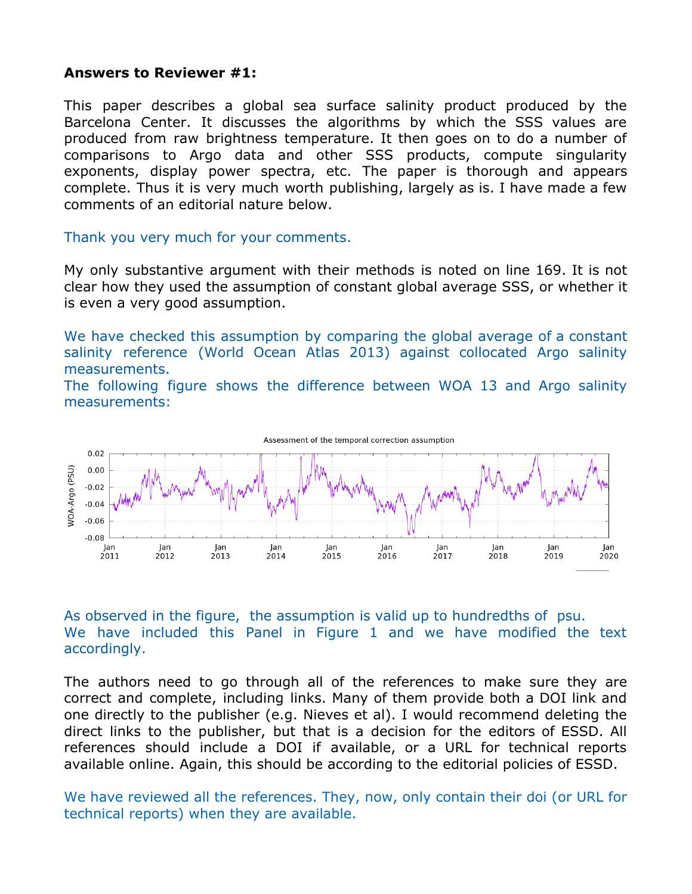## **Answers to Reviewer #1:**

This paper describes a global sea surface salinity product produced by the Barcelona Center. It discusses the algorithms by which the SSS values are produced from raw brightness temperature. It then goes on to do a number of comparisons to Argo data and other SSS products, compute singularity exponents, display power spectra, etc. The paper is thorough and appears complete. Thus it is very much worth publishing, largely as is. I have made a few comments of an editorial nature below.

Thank you very much for your comments.

My only substantive argument with their methods is noted on line 169. It is not clear how they used the assumption of constant global average SSS, or whether it is even a very good assumption.

We have checked this assumption by comparing the global average of a constant salinity reference (World Ocean Atlas 2013) against collocated Argo salinity measurements.

The following figure shows the difference between WOA 13 and Argo salinity measurements:



As observed in the figure, the assumption is valid up to hundredths of psu. We have included this Panel in Figure 1 and we have modified the text accordingly.

The authors need to go through all of the references to make sure they are correct and complete, including links. Many of them provide both a DOI link and one directly to the publisher (e.g. Nieves et al). I would recommend deleting the direct links to the publisher, but that is a decision for the editors of ESSD. All references should include a DOI if available, or a URL for technical reports available online. Again, this should be according to the editorial policies of ESSD.

We have reviewed all the references. They, now, only contain their doi (or URL for technical reports) when they are available.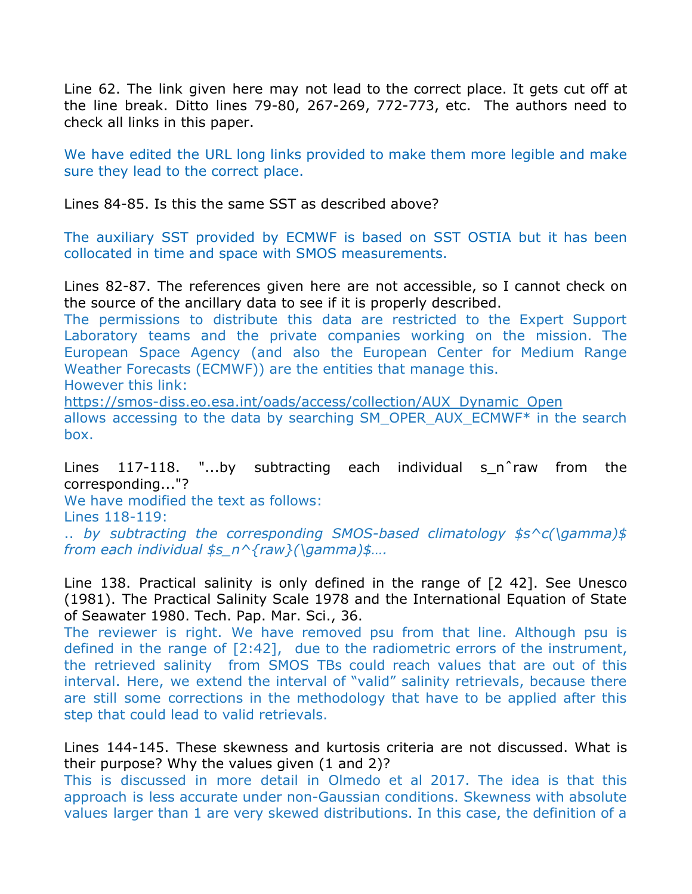Line 62. The link given here may not lead to the correct place. It gets cut off at the line break. Ditto lines 79-80, 267-269, 772-773, etc. The authors need to check all links in this paper.

We have edited the URL long links provided to make them more legible and make sure they lead to the correct place.

Lines 84-85. Is this the same SST as described above?

The auxiliary SST provided by ECMWF is based on SST OSTIA but it has been collocated in time and space with SMOS measurements.

Lines 82-87. The references given here are not accessible, so I cannot check on the source of the ancillary data to see if it is properly described.

The permissions to distribute this data are restricted to the Expert Support Laboratory teams and the private companies working on the mission. The European Space Agency (and also the European Center for Medium Range Weather Forecasts (ECMWF)) are the entities that manage this.

However this link:

[https://smos-diss.eo.esa.int/oads/access/collection/AUX\\_Dynamic\\_Open](https://smos-diss.eo.esa.int/oads/access/collection/AUX_Dynamic_Open) allows accessing to the data by searching SM\_OPER\_AUX\_ECMWF\* in the search box.

Lines 117-118. "...by subtracting each individual s\_n^raw from the corresponding..."?

We have modified the text as follows: Lines 118-119:

.. *by subtracting the corresponding SMOS-based climatology \$s^c(\gamma)\$ from each individual \$s\_n^{raw}(\gamma)\$….*

Line 138. Practical salinity is only defined in the range of [2 42]. See Unesco (1981). The Practical Salinity Scale 1978 and the International Equation of State of Seawater 1980. Tech. Pap. Mar. Sci., 36.

The reviewer is right. We have removed psu from that line. Although psu is defined in the range of [2:42], due to the radiometric errors of the instrument, the retrieved salinity from SMOS TBs could reach values that are out of this interval. Here, we extend the interval of "valid" salinity retrievals, because there are still some corrections in the methodology that have to be applied after this step that could lead to valid retrievals.

Lines 144-145. These skewness and kurtosis criteria are not discussed. What is their purpose? Why the values given (1 and 2)?

This is discussed in more detail in Olmedo et al 2017. The idea is that this approach is less accurate under non-Gaussian conditions. Skewness with absolute values larger than 1 are very skewed distributions. In this case, the definition of a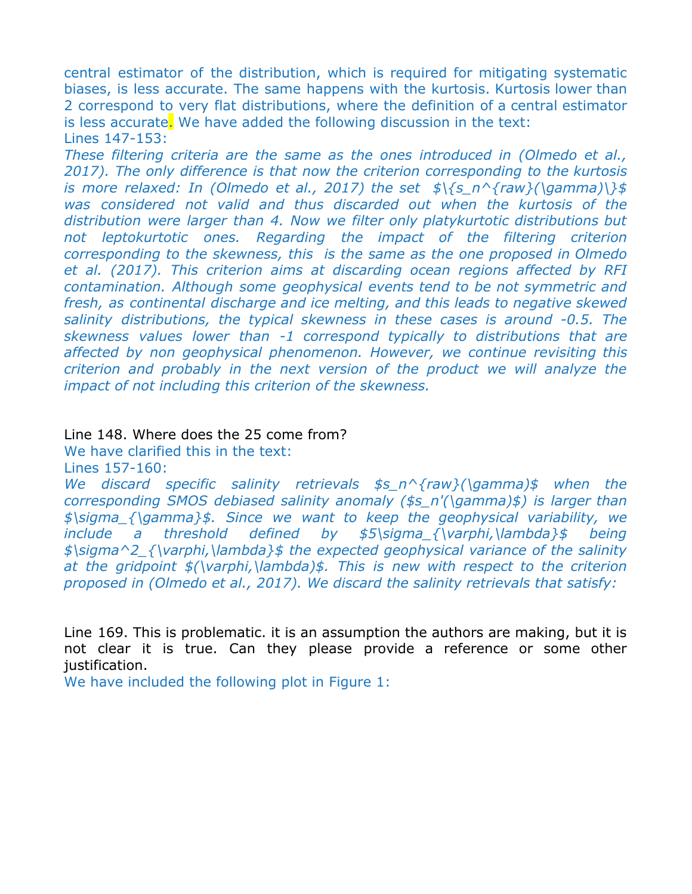central estimator of the distribution, which is required for mitigating systematic biases, is less accurate. The same happens with the kurtosis. Kurtosis lower than 2 correspond to very flat distributions, where the definition of a central estimator is less accurate. We have added the following discussion in the text: Lines 147-153:

*These filtering criteria are the same as the ones introduced in (Olmedo et al., 2017). The only difference is that now the criterion corresponding to the kurtosis is more relaxed: In (Olmedo et al., 2017) the set \$\{s\_n^{raw}(\gamma)\}\$ was considered not valid and thus discarded out when the kurtosis of the distribution were larger than 4. Now we filter only platykurtotic distributions but not leptokurtotic ones. Regarding the impact of the filtering criterion corresponding to the skewness, this is the same as the one proposed in Olmedo et al. (2017). This criterion aims at discarding ocean regions affected by RFI contamination. Although some geophysical events tend to be not symmetric and fresh, as continental discharge and ice melting, and this leads to negative skewed salinity distributions, the typical skewness in these cases is around -0.5. The skewness values lower than -1 correspond typically to distributions that are affected by non geophysical phenomenon. However, we continue revisiting this criterion and probably in the next version of the product we will analyze the impact of not including this criterion of the skewness.*

## Line 148. Where does the 25 come from?

We have clarified this in the text:

Lines 157-160:

*We discard specific salinity retrievals \$s\_n^{raw}(\gamma)\$ when the corresponding SMOS debiased salinity anomaly (\$s\_n'(\gamma)\$) is larger than \$\sigma\_{\gamma}\$. Since we want to keep the geophysical variability, we include a threshold defined by \$5\sigma\_{\varphi,\lambda}\$ being \$\sigma^2\_{\varphi,\lambda}\$ the expected geophysical variance of the salinity at the gridpoint \$(\varphi,\lambda)\$. This is new with respect to the criterion proposed in (Olmedo et al., 2017). We discard the salinity retrievals that satisfy:*

Line 169. This is problematic. it is an assumption the authors are making, but it is not clear it is true. Can they please provide a reference or some other justification.

We have included the following plot in Figure 1: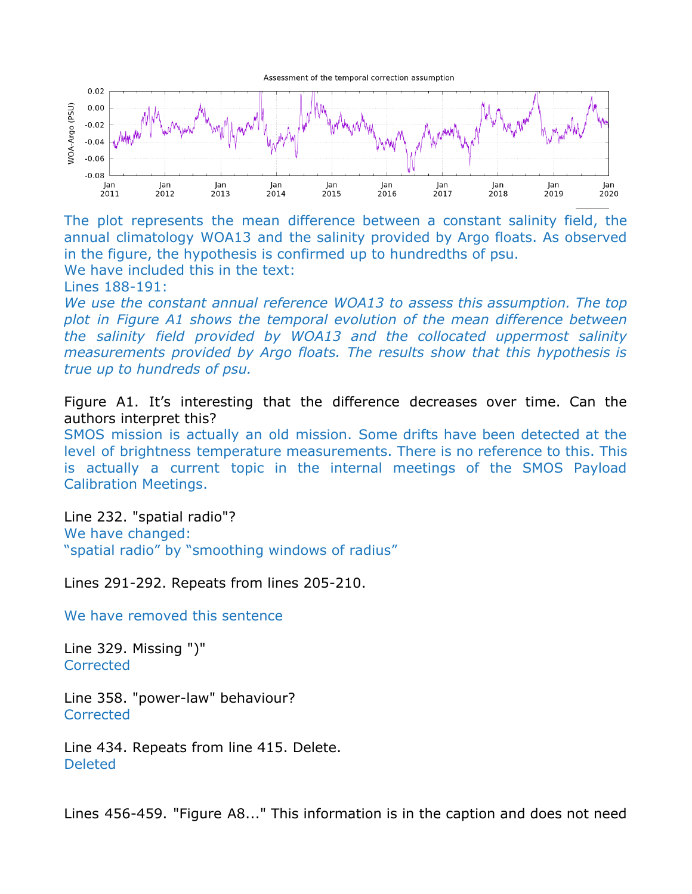

The plot represents the mean difference between a constant salinity field, the annual climatology WOA13 and the salinity provided by Argo floats. As observed in the figure, the hypothesis is confirmed up to hundredths of psu. We have included this in the text:

Lines 188-191:

*We use the constant annual reference WOA13 to assess this assumption. The top plot in Figure A1 shows the temporal evolution of the mean difference between the salinity field provided by WOA13 and the collocated uppermost salinity measurements provided by Argo floats. The results show that this hypothesis is true up to hundreds of psu.*

Figure A1. It's interesting that the difference decreases over time. Can the authors interpret this?

SMOS mission is actually an old mission. Some drifts have been detected at the level of brightness temperature measurements. There is no reference to this. This is actually a current topic in the internal meetings of the SMOS Payload Calibration Meetings.

Line 232. "spatial radio"? We have changed: "spatial radio" by "smoothing windows of radius"

Lines 291-292. Repeats from lines 205-210.

We have removed this sentence

Line 329. Missing ")" **Corrected** 

Line 358. "power-law" behaviour? **Corrected** 

Line 434. Repeats from line 415. Delete. Deleted

Lines 456-459. "Figure A8..." This information is in the caption and does not need